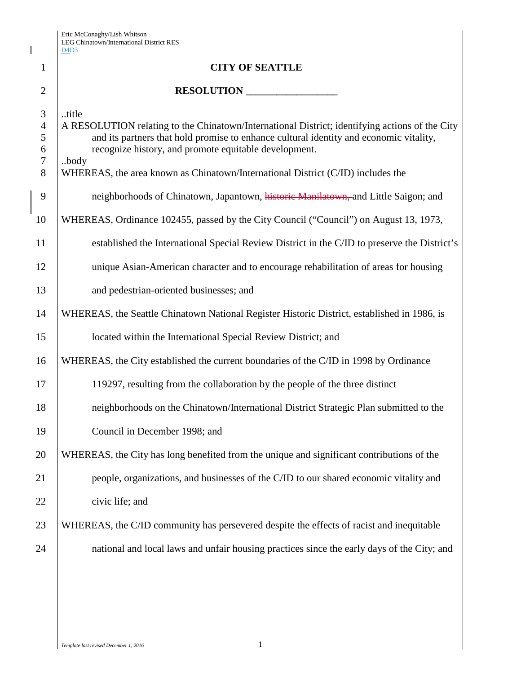Eric McConaghy/Lish Whitson LEG Chinatown/International District RES

 $\overline{\phantom{a}}$ 

|                                         | D4D3                                                                                                                                                                                                                                                                                                                                                   |
|-----------------------------------------|--------------------------------------------------------------------------------------------------------------------------------------------------------------------------------------------------------------------------------------------------------------------------------------------------------------------------------------------------------|
| $\mathbf{1}$                            | <b>CITY OF SEATTLE</b>                                                                                                                                                                                                                                                                                                                                 |
| $\overline{2}$                          | RESOLUTION                                                                                                                                                                                                                                                                                                                                             |
| 3<br>$\overline{4}$<br>5<br>6<br>7<br>8 | title<br>A RESOLUTION relating to the Chinatown/International District; identifying actions of the City<br>and its partners that hold promise to enhance cultural identity and economic vitality,<br>recognize history, and promote equitable development.<br>.body<br>WHEREAS, the area known as Chinatown/International District (C/ID) includes the |
| 9                                       | neighborhoods of Chinatown, Japantown, historic Manilatown, and Little Saigon; and                                                                                                                                                                                                                                                                     |
| 10                                      | WHEREAS, Ordinance 102455, passed by the City Council ("Council") on August 13, 1973,                                                                                                                                                                                                                                                                  |
| 11                                      | established the International Special Review District in the C/ID to preserve the District's                                                                                                                                                                                                                                                           |
| 12                                      | unique Asian-American character and to encourage rehabilitation of areas for housing                                                                                                                                                                                                                                                                   |
| 13                                      | and pedestrian-oriented businesses; and                                                                                                                                                                                                                                                                                                                |
| 14                                      | WHEREAS, the Seattle Chinatown National Register Historic District, established in 1986, is                                                                                                                                                                                                                                                            |
| 15                                      | located within the International Special Review District; and                                                                                                                                                                                                                                                                                          |
| 16                                      | WHEREAS, the City established the current boundaries of the C/ID in 1998 by Ordinance                                                                                                                                                                                                                                                                  |
| 17                                      | 119297, resulting from the collaboration by the people of the three distinct                                                                                                                                                                                                                                                                           |
| 18                                      | neighborhoods on the Chinatown/International District Strategic Plan submitted to the                                                                                                                                                                                                                                                                  |
| 19                                      | Council in December 1998; and                                                                                                                                                                                                                                                                                                                          |
| 20                                      | WHEREAS, the City has long benefited from the unique and significant contributions of the                                                                                                                                                                                                                                                              |
| 21                                      | people, organizations, and businesses of the C/ID to our shared economic vitality and                                                                                                                                                                                                                                                                  |
| 22                                      | civic life; and                                                                                                                                                                                                                                                                                                                                        |
| 23                                      | WHEREAS, the C/ID community has persevered despite the effects of racist and inequitable                                                                                                                                                                                                                                                               |
| 24                                      | national and local laws and unfair housing practices since the early days of the City; and                                                                                                                                                                                                                                                             |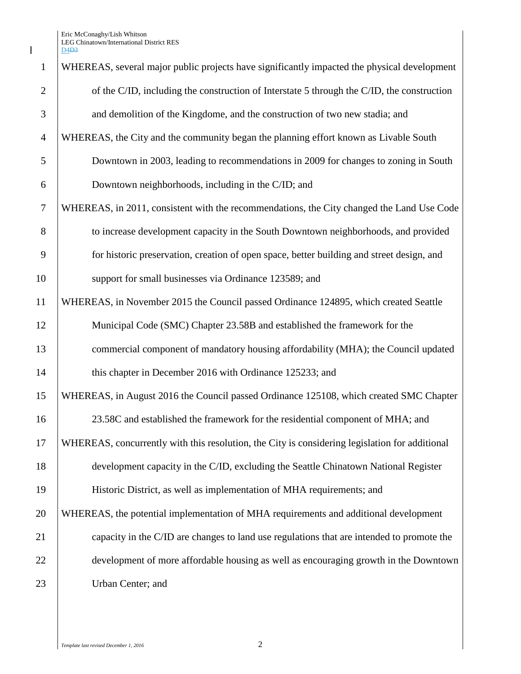$\mathbf I$ 

| $\mathbf{1}$   | WHEREAS, several major public projects have significantly impacted the physical development    |
|----------------|------------------------------------------------------------------------------------------------|
| $\overline{2}$ | of the C/ID, including the construction of Interstate 5 through the C/ID, the construction     |
| 3              | and demolition of the Kingdome, and the construction of two new stadia; and                    |
| $\overline{4}$ | WHEREAS, the City and the community began the planning effort known as Livable South           |
| 5              | Downtown in 2003, leading to recommendations in 2009 for changes to zoning in South            |
| 6              | Downtown neighborhoods, including in the C/ID; and                                             |
| $\tau$         | WHEREAS, in 2011, consistent with the recommendations, the City changed the Land Use Code      |
| 8              | to increase development capacity in the South Downtown neighborhoods, and provided             |
| 9              | for historic preservation, creation of open space, better building and street design, and      |
| 10             | support for small businesses via Ordinance 123589; and                                         |
| 11             | WHEREAS, in November 2015 the Council passed Ordinance 124895, which created Seattle           |
| 12             | Municipal Code (SMC) Chapter 23.58B and established the framework for the                      |
| 13             | commercial component of mandatory housing affordability (MHA); the Council updated             |
| 14             | this chapter in December 2016 with Ordinance 125233; and                                       |
| 15             | WHEREAS, in August 2016 the Council passed Ordinance 125108, which created SMC Chapter         |
| 16             | 23.58C and established the framework for the residential component of MHA; and                 |
| 17             | WHEREAS, concurrently with this resolution, the City is considering legislation for additional |
| 18             | development capacity in the C/ID, excluding the Seattle Chinatown National Register            |
| 19             | Historic District, as well as implementation of MHA requirements; and                          |
| 20             | WHEREAS, the potential implementation of MHA requirements and additional development           |
| 21             | capacity in the C/ID are changes to land use regulations that are intended to promote the      |
| 22             | development of more affordable housing as well as encouraging growth in the Downtown           |
| 23             | Urban Center; and                                                                              |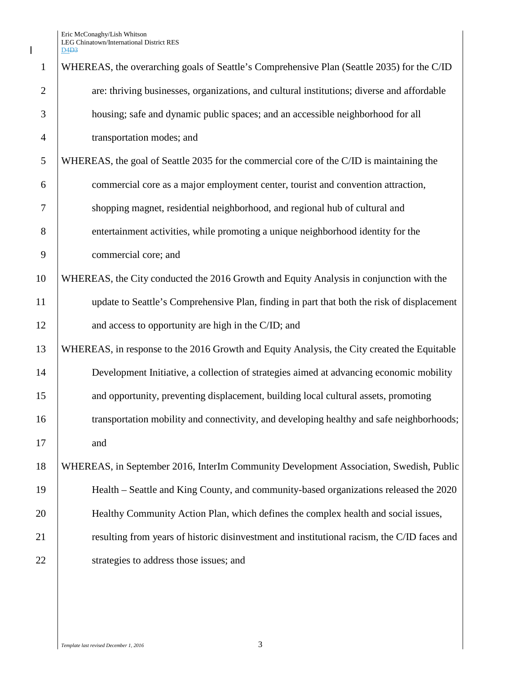$\mathbf I$ 

| $\mathbf{1}$   | WHEREAS, the overarching goals of Seattle's Comprehensive Plan (Seattle 2035) for the C/ID  |
|----------------|---------------------------------------------------------------------------------------------|
| $\overline{2}$ | are: thriving businesses, organizations, and cultural institutions; diverse and affordable  |
| 3              | housing; safe and dynamic public spaces; and an accessible neighborhood for all             |
| $\overline{4}$ | transportation modes; and                                                                   |
| 5              | WHEREAS, the goal of Seattle 2035 for the commercial core of the C/ID is maintaining the    |
| 6              | commercial core as a major employment center, tourist and convention attraction,            |
| 7              | shopping magnet, residential neighborhood, and regional hub of cultural and                 |
| 8              | entertainment activities, while promoting a unique neighborhood identity for the            |
| 9              | commercial core; and                                                                        |
| 10             | WHEREAS, the City conducted the 2016 Growth and Equity Analysis in conjunction with the     |
| 11             | update to Seattle's Comprehensive Plan, finding in part that both the risk of displacement  |
| 12             | and access to opportunity are high in the C/ID; and                                         |
| 13             | WHEREAS, in response to the 2016 Growth and Equity Analysis, the City created the Equitable |
| 14             | Development Initiative, a collection of strategies aimed at advancing economic mobility     |
| 15             | and opportunity, preventing displacement, building local cultural assets, promoting         |
| 16             | transportation mobility and connectivity, and developing healthy and safe neighborhoods;    |
| 17             | and                                                                                         |
| 18             | WHEREAS, in September 2016, InterIm Community Development Association, Swedish, Public      |
| 19             | Health – Seattle and King County, and community-based organizations released the 2020       |
| 20             | Healthy Community Action Plan, which defines the complex health and social issues,          |
| 21             | resulting from years of historic disinvestment and institutional racism, the C/ID faces and |
| 22             | strategies to address those issues; and                                                     |
|                |                                                                                             |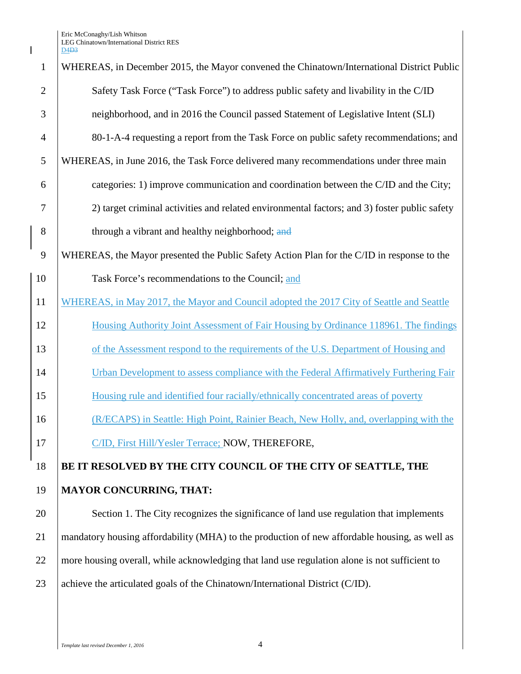| $\mathbf{1}$   | WHEREAS, in December 2015, the Mayor convened the Chinatown/International District Public     |
|----------------|-----------------------------------------------------------------------------------------------|
| $\overline{2}$ | Safety Task Force ("Task Force") to address public safety and livability in the C/ID          |
| 3              | neighborhood, and in 2016 the Council passed Statement of Legislative Intent (SLI)            |
| $\overline{4}$ | 80-1-A-4 requesting a report from the Task Force on public safety recommendations; and        |
| 5              | WHEREAS, in June 2016, the Task Force delivered many recommendations under three main         |
| 6              | categories: 1) improve communication and coordination between the C/ID and the City;          |
| 7              | 2) target criminal activities and related environmental factors; and 3) foster public safety  |
| 8              | through a vibrant and healthy neighborhood; and                                               |
| 9              | WHEREAS, the Mayor presented the Public Safety Action Plan for the C/ID in response to the    |
| 10             | Task Force's recommendations to the Council; and                                              |
| 11             | WHEREAS, in May 2017, the Mayor and Council adopted the 2017 City of Seattle and Seattle      |
| 12             | Housing Authority Joint Assessment of Fair Housing by Ordinance 118961. The findings          |
| 13             | of the Assessment respond to the requirements of the U.S. Department of Housing and           |
| 14             | Urban Development to assess compliance with the Federal Affirmatively Furthering Fair         |
| 15             | Housing rule and identified four racially/ethnically concentrated areas of poverty            |
| 16             | (R/ECAPS) in Seattle: High Point, Rainier Beach, New Holly, and, overlapping with the         |
| 17             | C/ID, First Hill/Yesler Terrace; NOW, THEREFORE,                                              |
| 18             | BE IT RESOLVED BY THE CITY COUNCIL OF THE CITY OF SEATTLE, THE                                |
| 19             | <b>MAYOR CONCURRING, THAT:</b>                                                                |
| 20             | Section 1. The City recognizes the significance of land use regulation that implements        |
| 21             | mandatory housing affordability (MHA) to the production of new affordable housing, as well as |
| 22             | more housing overall, while acknowledging that land use regulation alone is not sufficient to |
| 23             | achieve the articulated goals of the Chinatown/International District (C/ID).                 |

 $\mathbf I$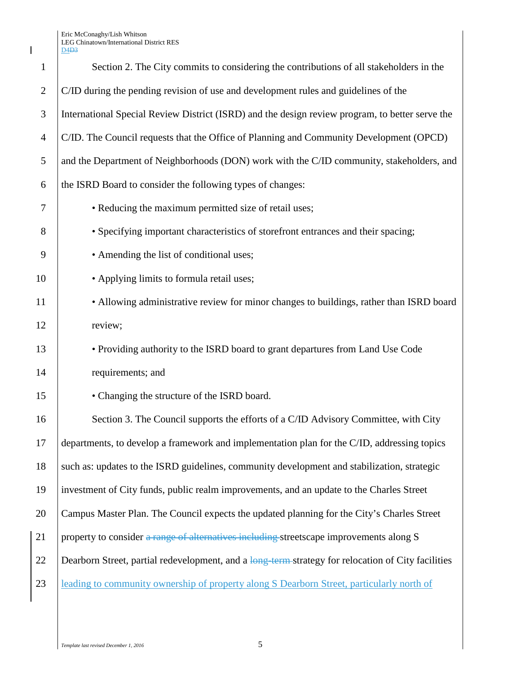Eric McConaghy/Lish Whitson LEG Chinatown/International District RES

|                | LEO CHIHAWWII/HIterhational District RE.<br>D4 <del>D3</del>                                       |
|----------------|----------------------------------------------------------------------------------------------------|
| 1              | Section 2. The City commits to considering the contributions of all stakeholders in the            |
| $\sqrt{2}$     | C/ID during the pending revision of use and development rules and guidelines of the                |
| 3              | International Special Review District (ISRD) and the design review program, to better serve the    |
| $\overline{4}$ | C/ID. The Council requests that the Office of Planning and Community Development (OPCD)            |
| 5              | and the Department of Neighborhoods (DON) work with the C/ID community, stakeholders, and          |
| 6              | the ISRD Board to consider the following types of changes:                                         |
| 7              | • Reducing the maximum permitted size of retail uses;                                              |
| 8              | • Specifying important characteristics of storefront entrances and their spacing;                  |
| 9              | • Amending the list of conditional uses;                                                           |
| 10             | • Applying limits to formula retail uses;                                                          |
| 11             | • Allowing administrative review for minor changes to buildings, rather than ISRD board            |
| 12             | review;                                                                                            |
| 13             | • Providing authority to the ISRD board to grant departures from Land Use Code                     |
| 14             | requirements; and                                                                                  |
| 15             | • Changing the structure of the ISRD board.                                                        |
| 16             | Section 3. The Council supports the efforts of a C/ID Advisory Committee, with City                |
| 17             | departments, to develop a framework and implementation plan for the C/ID, addressing topics        |
| 18             | such as: updates to the ISRD guidelines, community development and stabilization, strategic        |
| 19             | investment of City funds, public realm improvements, and an update to the Charles Street           |
| 20             | Campus Master Plan. The Council expects the updated planning for the City's Charles Street         |
| 21             | property to consider a range of alternatives including streetscape improvements along S            |
| 22             | Dearborn Street, partial redevelopment, and a long term strategy for relocation of City facilities |
| 23             | leading to community ownership of property along S Dearborn Street, particularly north of          |
|                |                                                                                                    |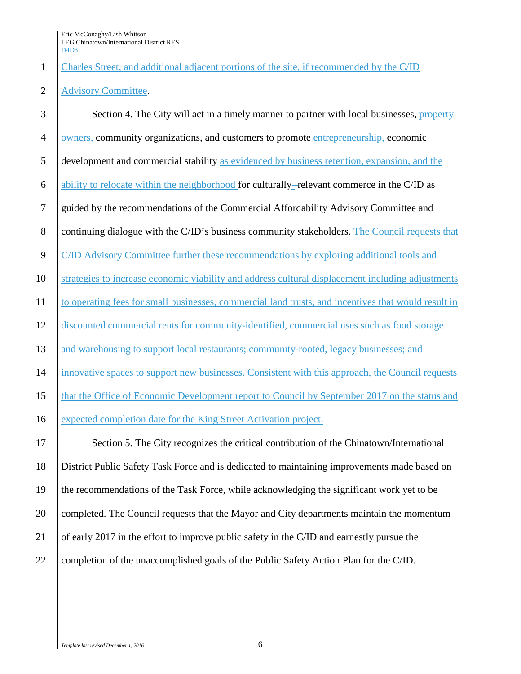Charles Street, and additional adjacent portions of the site, if recommended by the C/ID

## 2 Advisory Committee.

3 Section 4. The City will act in a timely manner to partner with local businesses, property owners, community organizations, and customers to promote entrepreneurship, economic development and commercial stability as evidenced by business retention, expansion, and the ability to relocate within the neighborhood for culturally- relevant commerce in the C/ID as guided by the recommendations of the Commercial Affordability Advisory Committee and 8 continuing dialogue with the C/ID's business community stakeholders. The Council requests that 9 C/ID Advisory Committee further these recommendations by exploring additional tools and strategies to increase economic viability and address cultural displacement including adjustments to operating fees for small businesses, commercial land trusts, and incentives that would result in discounted commercial rents for community-identified, commercial uses such as food storage 13 and warehousing to support local restaurants; community-rooted, legacy businesses; and innovative spaces to support new businesses. Consistent with this approach, the Council requests that the Office of Economic Development report to Council by September 2017 on the status and expected completion date for the King Street Activation project. Section 5. The City recognizes the critical contribution of the Chinatown/International District Public Safety Task Force and is dedicated to maintaining improvements made based on the recommendations of the Task Force, while acknowledging the significant work yet to be completed. The Council requests that the Mayor and City departments maintain the momentum of early 2017 in the effort to improve public safety in the C/ID and earnestly pursue the 22 Completion of the unaccomplished goals of the Public Safety Action Plan for the C/ID.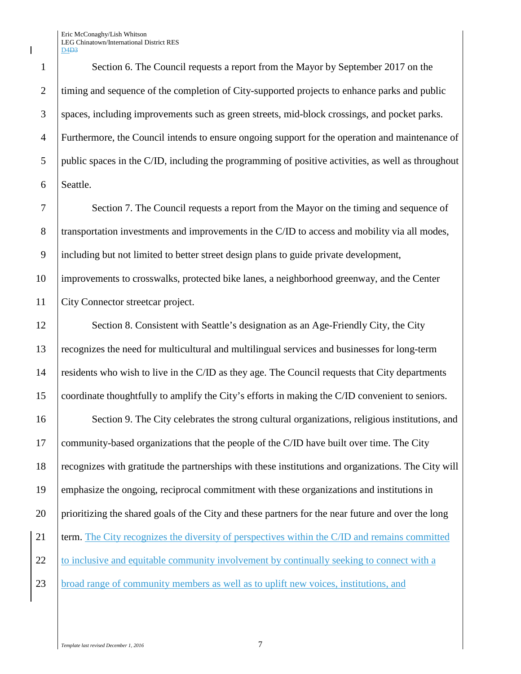Section 6. The Council requests a report from the Mayor by September 2017 on the 2 timing and sequence of the completion of City-supported projects to enhance parks and public spaces, including improvements such as green streets, mid-block crossings, and pocket parks. Furthermore, the Council intends to ensure ongoing support for the operation and maintenance of public spaces in the C/ID, including the programming of positive activities, as well as throughout 6 Seattle.

7 Section 7. The Council requests a report from the Mayor on the timing and sequence of 8 transportation investments and improvements in the C/ID to access and mobility via all modes, 9 including but not limited to better street design plans to guide private development,

10 improvements to crosswalks, protected bike lanes, a neighborhood greenway, and the Center 11 | City Connector streetcar project.

12 Section 8. Consistent with Seattle's designation as an Age-Friendly City, the City recognizes the need for multicultural and multilingual services and businesses for long-term residents who wish to live in the C/ID as they age. The Council requests that City departments coordinate thoughtfully to amplify the City's efforts in making the C/ID convenient to seniors.

16 Section 9. The City celebrates the strong cultural organizations, religious institutions, and 17 community-based organizations that the people of the C/ID have built over time. The City 18 recognizes with gratitude the partnerships with these institutions and organizations. The City will 19 emphasize the ongoing, reciprocal commitment with these organizations and institutions in 20 prioritizing the shared goals of the City and these partners for the near future and over the long 21 term. The City recognizes the diversity of perspectives within the C/ID and remains committed 22 to inclusive and equitable community involvement by continually seeking to connect with a 23 broad range of community members as well as to uplift new voices, institutions, and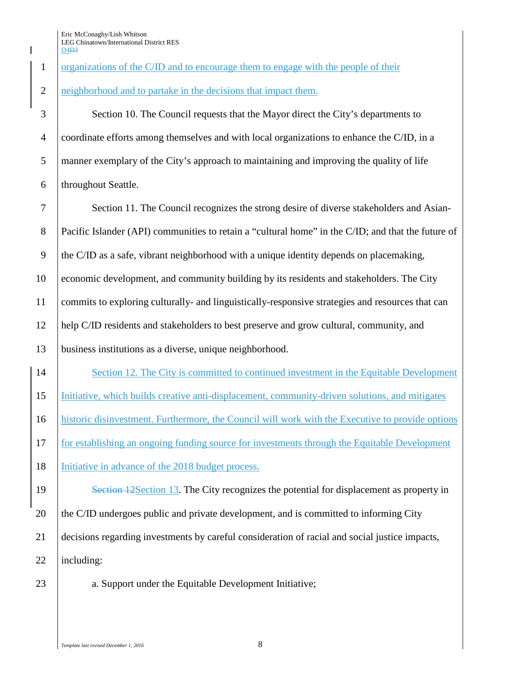## 1 organizations of the C/ID and to encourage them to engage with the people of their

## 2 neighborhood and to partake in the decisions that impact them.

 Section 10. The Council requests that the Mayor direct the City's departments to coordinate efforts among themselves and with local organizations to enhance the C/ID, in a manner exemplary of the City's approach to maintaining and improving the quality of life 6 | throughout Seattle.

 Section 11. The Council recognizes the strong desire of diverse stakeholders and Asian- Pacific Islander (API) communities to retain a "cultural home" in the C/ID; and that the future of 9 the C/ID as a safe, vibrant neighborhood with a unique identity depends on placemaking, economic development, and community building by its residents and stakeholders. The City commits to exploring culturally- and linguistically-responsive strategies and resources that can help C/ID residents and stakeholders to best preserve and grow cultural, community, and business institutions as a diverse, unique neighborhood.

14 Section 12. The City is committed to continued investment in the Equitable Development 15 Initiative, which builds creative anti-displacement, community-driven solutions, and mitigates 16 historic disinvestment. Furthermore, the Council will work with the Executive to provide options 17 for establishing an ongoing funding source for investments through the Equitable Development 18 Initiative in advance of the 2018 budget process.

19 Section 12Section 13. The City recognizes the potential for displacement as property in 20 the C/ID undergoes public and private development, and is committed to informing City 21 decisions regarding investments by careful consideration of racial and social justice impacts, 22 including:

23 a. Support under the Equitable Development Initiative;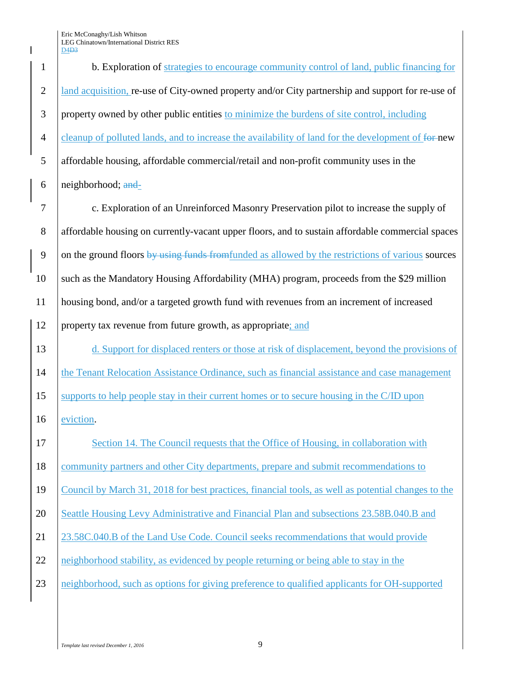| $\mathbf{1}$   | b. Exploration of strategies to encourage community control of land, public financing for          |
|----------------|----------------------------------------------------------------------------------------------------|
| $\mathbf{2}$   | land acquisition, re-use of City-owned property and/or City partnership and support for re-use of  |
| $\mathfrak{Z}$ | property owned by other public entities to minimize the burdens of site control, including         |
| $\overline{4}$ | cleanup of polluted lands, and to increase the availability of land for the development of for new |
| 5              | affordable housing, affordable commercial/retail and non-profit community uses in the              |
| 6              | neighborhood; and-                                                                                 |
| 7              | c. Exploration of an Unreinforced Masonry Preservation pilot to increase the supply of             |
| 8              | affordable housing on currently-vacant upper floors, and to sustain affordable commercial spaces   |
| 9              | on the ground floors by using funds from funded as allowed by the restrictions of various sources  |
| 10             | such as the Mandatory Housing Affordability (MHA) program, proceeds from the \$29 million          |
| 11             | housing bond, and/or a targeted growth fund with revenues from an increment of increased           |
| 12             | property tax revenue from future growth, as appropriate; and                                       |
| 13             | d. Support for displaced renters or those at risk of displacement, beyond the provisions of        |
| 14             | the Tenant Relocation Assistance Ordinance, such as financial assistance and case management       |
| 15             | supports to help people stay in their current homes or to secure housing in the C/ID upon          |
| 16             | eviction.                                                                                          |
| 17             | Section 14. The Council requests that the Office of Housing, in collaboration with                 |
| 18             | community partners and other City departments, prepare and submit recommendations to               |
| 19             | Council by March 31, 2018 for best practices, financial tools, as well as potential changes to the |
| 20             | Seattle Housing Levy Administrative and Financial Plan and subsections 23.58B.040.B and            |
| 21             | 23.58C.040.B of the Land Use Code. Council seeks recommendations that would provide                |
| 22             | neighborhood stability, as evidenced by people returning or being able to stay in the              |
| 23             | neighborhood, such as options for giving preference to qualified applicants for OH-supported       |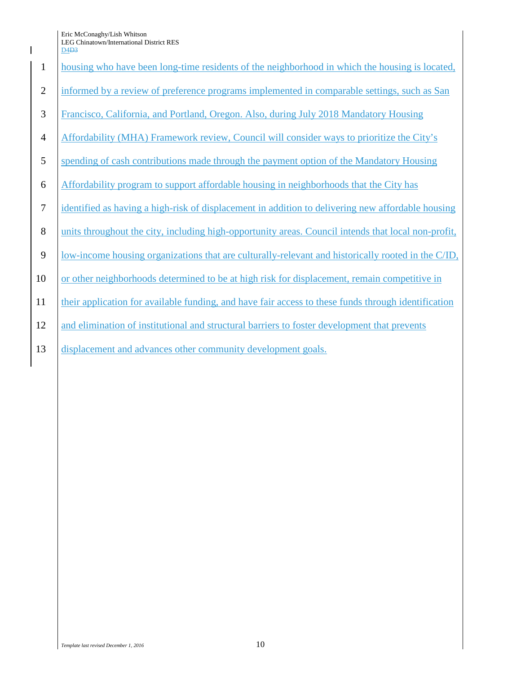Eric McConaghy/Lish Whitson

|                | LEG Chinatown/International District RES<br>D <sub>4</sub> D <sub>3</sub>                           |
|----------------|-----------------------------------------------------------------------------------------------------|
| $\mathbf{1}$   | housing who have been long-time residents of the neighborhood in which the housing is located,      |
| 2              | informed by a review of preference programs implemented in comparable settings, such as San         |
| 3              | Francisco, California, and Portland, Oregon. Also, during July 2018 Mandatory Housing               |
| $\overline{4}$ | Affordability (MHA) Framework review, Council will consider ways to prioritize the City's           |
| 5              | spending of cash contributions made through the payment option of the Mandatory Housing             |
| 6              | Affordability program to support affordable housing in neighborhoods that the City has              |
| $\tau$         | identified as having a high-risk of displacement in addition to delivering new affordable housing   |
| 8              | units throughout the city, including high-opportunity areas. Council intends that local non-profit, |
| 9              | low-income housing organizations that are culturally-relevant and historically rooted in the C/ID,  |
| 10             | or other neighborhoods determined to be at high risk for displacement, remain competitive in        |
| 11             | their application for available funding, and have fair access to these funds through identification |
| 12             | and elimination of institutional and structural barriers to foster development that prevents        |
| 13             | displacement and advances other community development goals.                                        |
|                |                                                                                                     |
|                |                                                                                                     |